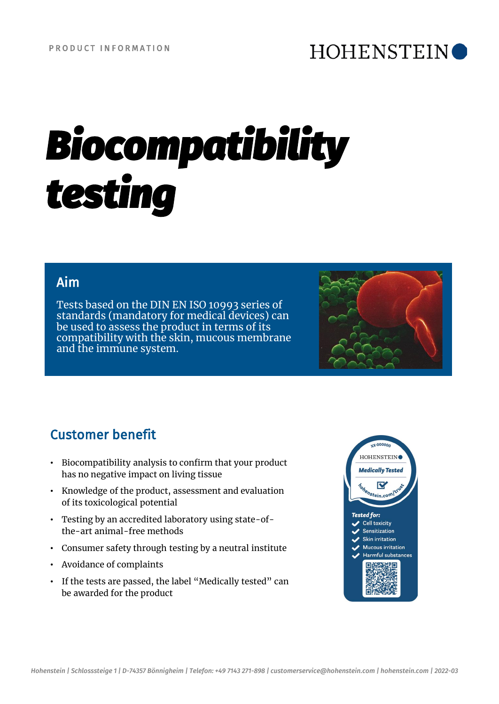## **HOHENSTEIN**

# *Biocompatibility testing*

#### Aim

Tests based on the DIN EN ISO 10993 series of standards (mandatory for medical devices) can be used to assess the product in terms of its compatibility with the skin, mucous membrane and the immune system.



## Customer benefit

- Biocompatibility analysis to confirm that your product has no negative impact on living tissue
- Knowledge of the product, assessment and evaluation of its toxicological potential
- Testing by an accredited laboratory using state-ofthe-art animal-free methods
- Consumer safety through testing by a neutral institute
- Avoidance of complaints
- If the tests are passed, the label "Medically tested" can be awarded for the product